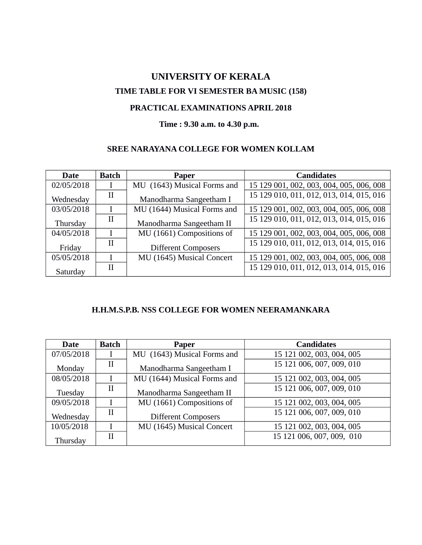# **UNIVERSITY OF KERALA TIME TABLE FOR VI SEMESTER BA MUSIC (158)**

## **PRACTICAL EXAMINATIONS APRIL 2018**

#### **Time : 9.30 a.m. to 4.30 p.m.**

#### **SREE NARAYANA COLLEGE FOR WOMEN KOLLAM**

| <b>Date</b> | <b>Batch</b> | Paper                       | <b>Candidates</b>                        |
|-------------|--------------|-----------------------------|------------------------------------------|
| 02/05/2018  |              | MU (1643) Musical Forms and | 15 129 001, 002, 003, 004, 005, 006, 008 |
| Wednesday   | $_{\rm II}$  | Manodharma Sangeetham I     | 15 129 010, 011, 012, 013, 014, 015, 016 |
| 03/05/2018  |              | MU (1644) Musical Forms and | 15 129 001, 002, 003, 004, 005, 006, 008 |
| Thursday    | П            | Manodharma Sangeetham II    | 15 129 010, 011, 012, 013, 014, 015, 016 |
| 04/05/2018  |              | MU (1661) Compositions of   | 15 129 001, 002, 003, 004, 005, 006, 008 |
| Friday      | $_{\rm II}$  | <b>Different Composers</b>  | 15 129 010, 011, 012, 013, 014, 015, 016 |
| 05/05/2018  |              | MU (1645) Musical Concert   | 15 129 001, 002, 003, 004, 005, 006, 008 |
| Saturday    | П            |                             | 15 129 010, 011, 012, 013, 014, 015, 016 |

#### **H.H.M.S.P.B. NSS COLLEGE FOR WOMEN NEERAMANKARA**

| <b>Date</b> | <b>Batch</b> | Paper                       | <b>Candidates</b>         |
|-------------|--------------|-----------------------------|---------------------------|
| 07/05/2018  |              | MU (1643) Musical Forms and | 15 121 002, 003, 004, 005 |
| Monday      | П            | Manodharma Sangeetham I     | 15 121 006, 007, 009, 010 |
| 08/05/2018  |              | MU (1644) Musical Forms and | 15 121 002, 003, 004, 005 |
| Tuesday     | $_{\rm II}$  | Manodharma Sangeetham II    | 15 121 006, 007, 009, 010 |
| 09/05/2018  |              | MU (1661) Compositions of   | 15 121 002, 003, 004, 005 |
| Wednesday   | Н            | <b>Different Composers</b>  | 15 121 006, 007, 009, 010 |
| 10/05/2018  |              | MU (1645) Musical Concert   | 15 121 002, 003, 004, 005 |
| Thursday    | П            |                             | 15 121 006, 007, 009, 010 |